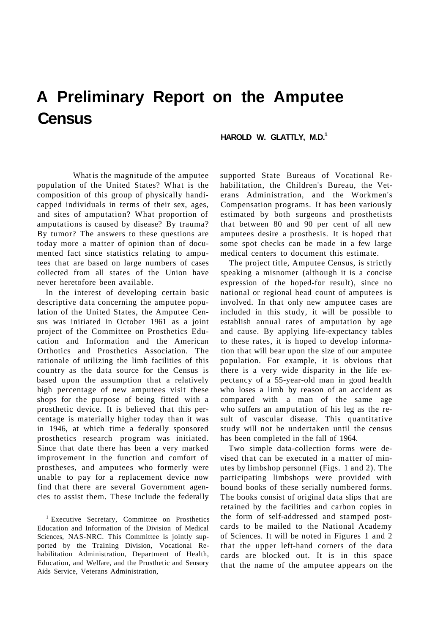## **A Preliminary Report on the Amputee Census**

**HAROLD W. GLATTLY, M.D.<sup>1</sup>**

What is the magnitude of the amputee population of the United States? What is the composition of this group of physically handicapped individuals in terms of their sex, ages, and sites of amputation? What proportion of amputations is caused by disease? By trauma? By tumor? The answers to these questions are today more a matter of opinion than of documented fact since statistics relating to amputees that are based on large numbers of cases collected from all states of the Union have never heretofore been available.

In the interest of developing certain basic descriptive data concerning the amputee population of the United States, the Amputee Census was initiated in October 1961 as a joint project of the Committee on Prosthetics Education and Information and the American Orthotics and Prosthetics Association. The rationale of utilizing the limb facilities of this country as the data source for the Census is based upon the assumption that a relatively high percentage of new amputees visit these shops for the purpose of being fitted with a prosthetic device. It is believed that this percentage is materially higher today than it was in 1946, at which time a federally sponsored prosthetics research program was initiated. Since that date there has been a very marked improvement in the function and comfort of prostheses, and amputees who formerly were unable to pay for a replacement device now find that there are several Government agencies to assist them. These include the federally

1 Executive Secretary, Committee on Prosthetics Education and Information of the Division of Medical Sciences, NAS-NRC. This Committee is jointly supported by the Training Division, Vocational Rehabilitation Administration, Department of Health, Education, and Welfare, and the Prosthetic and Sensory Aids Service, Veterans Administration,

supported State Bureaus of Vocational Rehabilitation, the Children's Bureau, the Veterans Administration, and the Workmen's Compensation programs. It has been variously estimated by both surgeons and prosthetists that between 80 and 90 per cent of all new amputees desire a prosthesis. It is hoped that some spot checks can be made in a few large medical centers to document this estimate.

The project title, Amputee Census, is strictly speaking a misnomer (although it is a concise expression of the hoped-for result), since no national or regional head count of amputees is involved. In that only new amputee cases are included in this study, it will be possible to establish annual rates of amputation by age and cause. By applying life-expectancy tables to these rates, it is hoped to develop information that will bear upon the size of our amputee population. For example, it is obvious that there is a very wide disparity in the life expectancy of a 55-year-old man in good health who loses a limb by reason of an accident as compared with a man of the same age who suffers an amputation of his leg as the result of vascular disease. This quantitative study will not be undertaken until the census has been completed in the fall of 1964.

Two simple data-collection forms were devised that can be executed in a matter of minutes by limbshop personnel (Figs. 1 and 2). The participating limbshops were provided with bound books of these serially numbered forms. The books consist of original data slips that are retained by the facilities and carbon copies in the form of self-addressed and stamped postcards to be mailed to the National Academy of Sciences. It will be noted in Figures 1 and 2 that the upper left-hand corners of the data cards are blocked out. It is in this space that the name of the amputee appears on the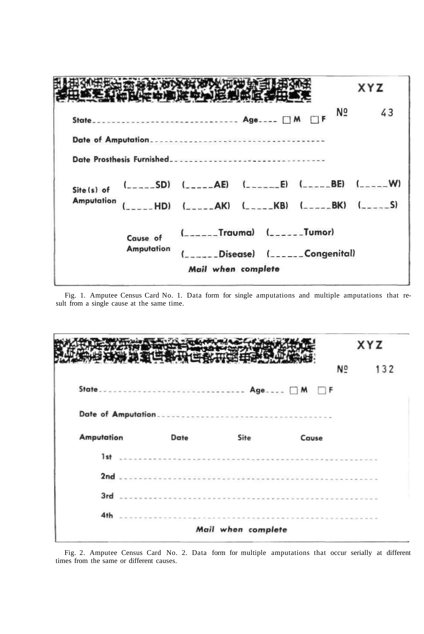|                   |                   |                                                                             |                                                      |                | XYZ |  |
|-------------------|-------------------|-----------------------------------------------------------------------------|------------------------------------------------------|----------------|-----|--|
|                   |                   | State Age [ ] M                                                             |                                                      | N <sub>2</sub> | 43  |  |
|                   |                   |                                                                             |                                                      |                |     |  |
|                   |                   | Date Prosthesis Furnished                                                   |                                                      |                |     |  |
| Site (s) of       |                   | $($ <sub>____</sub> _SD) $($ _____AE) $($ ______E) $($ _____BE) $($ _____W) |                                                      |                |     |  |
| <b>Amputation</b> |                   | HD) (_____AK) (_____KB) (_____BK) (_____S)                                  |                                                      |                |     |  |
|                   | (<br>Cause of     |                                                                             |                                                      |                |     |  |
|                   | <b>Amputation</b> |                                                                             | $($ <sub>_____</sub> _Disease) $($ ______Congenital) |                |     |  |
|                   |                   | Mail when complete                                                          |                                                      |                |     |  |

Fig. 1. Amputee Census Card No. 1. Data form for single amputations and multiple amputations that result from a single cause at the same time.

|                   |                   |      |                                                                                                                                                                                                                                                                                                                                                                                                                             | XYZ            |     |
|-------------------|-------------------|------|-----------------------------------------------------------------------------------------------------------------------------------------------------------------------------------------------------------------------------------------------------------------------------------------------------------------------------------------------------------------------------------------------------------------------------|----------------|-----|
|                   |                   |      |                                                                                                                                                                                                                                                                                                                                                                                                                             | N <sub>o</sub> | 132 |
|                   | State Age □ M □ F |      |                                                                                                                                                                                                                                                                                                                                                                                                                             |                |     |
|                   |                   |      |                                                                                                                                                                                                                                                                                                                                                                                                                             |                |     |
| <b>Amputation</b> | Date              | Site | Cause                                                                                                                                                                                                                                                                                                                                                                                                                       |                |     |
| $1st$             |                   |      | $\label{eq:2.1} \begin{split} \mathcal{L}^{2}(\mathcal{L}^{2}(\mathcal{H}))\cong\mathcal{L}^{2}(\mathcal{H}^{2}(\mathcal{H}))\cong\mathcal{L}^{2}(\mathcal{H}^{2}(\mathcal{H}))\cong\mathcal{L}^{2}(\mathcal{H}^{2}(\mathcal{H}))\cong\mathcal{L}^{2}(\mathcal{H}))\cong\mathcal{L}^{2}(\mathcal{H})\cong\mathcal{L}^{2}(\mathcal{H})\cong\mathcal{L}^{2}(\mathcal{H})\cong\mathcal{L}^{2}(\mathcal{H})\cong\mathcal{L}^{2$ |                |     |
|                   |                   |      |                                                                                                                                                                                                                                                                                                                                                                                                                             |                |     |
|                   |                   |      |                                                                                                                                                                                                                                                                                                                                                                                                                             |                |     |
|                   |                   |      |                                                                                                                                                                                                                                                                                                                                                                                                                             |                |     |
| 4th               |                   |      |                                                                                                                                                                                                                                                                                                                                                                                                                             |                |     |

Fig. 2. Amputee Census Card No. 2. Data form for multiple amputations that occur serially at different times from the same or different causes.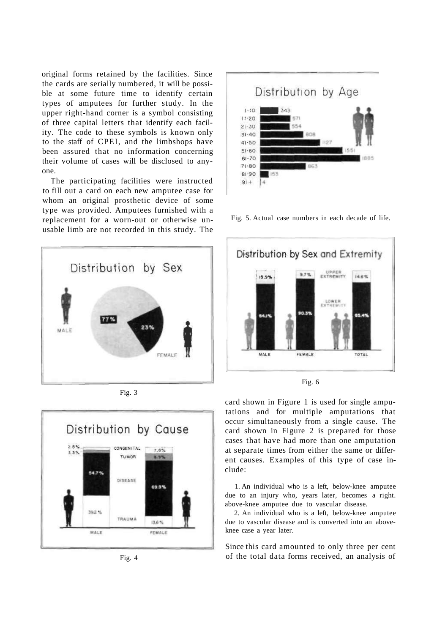original forms retained by the facilities. Since the cards are serially numbered, it will be possible at some future time to identify certain types of amputees for further study. In the upper right-hand corner is a symbol consisting of three capital letters that identify each facility. The code to these symbols is known only to the staff of CPEI, and the limbshops have been assured that no information concerning their volume of cases will be disclosed to anyone.

The participating facilities were instructed to fill out a card on each new amputee case for whom an original prosthetic device of some type was provided. Amputees furnished with a replacement for a worn-out or otherwise unusable limb are not recorded in this study. The



Fig. 3



Fig. 4



Fig. 5. Actual case numbers in each decade of life.



card shown in Figure 1 is used for single amputations and for multiple amputations that occur simultaneously from a single cause. The card shown in Figure 2 is prepared for those cases that have had more than one amputation at separate times from either the same or different causes. Examples of this type of case include:

1. An individual who is a left, below-knee amputee due to an injury who, years later, becomes a right. above-knee amputee due to vascular disease.

2. An individual who is a left, below-knee amputee due to vascular disease and is converted into an aboveknee case a year later.

Since this card amounted to only three per cent of the total data forms received, an analysis of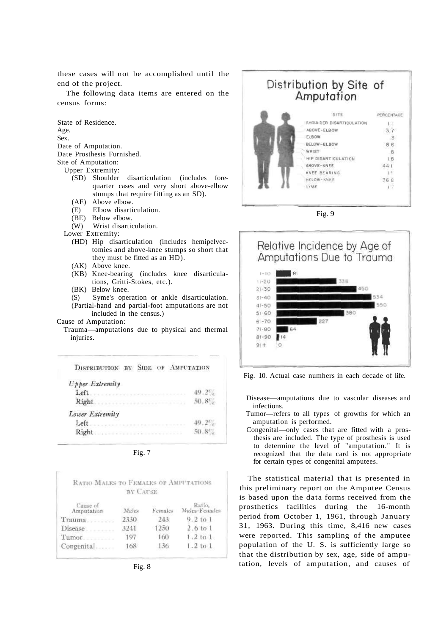these cases will not be accomplished until the end of the project.

The following data items are entered on the census forms:

State of Residence. Age. Sex. Date of Amputation.

Date Prosthesis Furnished.

Site of Amputation:

- Upper Extremity:<br>(SD) Shoulder disarticulation (includes forequarter cases and very short above-elbow stumps that require fitting as an SD).
	- (AE) Above elbow.
	- (E) Elbow disarticulation.
	- (BE) Below elbow.
	- (W) Wrist disarticulation.

Lower Extremity:

- (HD) Hip disarticulation (includes hemipelvectomies and above-knee stumps so short that they must be fitted as an HD).
- (AK) Above knee.
- (KB) Knee-bearing (includes knee disarticulations, Gritti-Stokes, etc.).
- (BK) Below knee.

(S) Syme's operation or ankle disarticulation. (Partial-hand and partial-foot amputations are not included in the census.)

Cause of Amputation:

Trauma—amputations due to physical and thermal injuries.

| DISTRIBUTION BY SIDE OF AMPUTATION                                                                                                                  |                   |
|-----------------------------------------------------------------------------------------------------------------------------------------------------|-------------------|
| <b>Upper Extremity</b><br>Left<br>THE CASE AND REPORTED A RESIDENCE OF CASE<br>Right<br>                                                            | $49.2\%$<br>50.8% |
| Lower Extremity<br>Left<br>Right.<br>a president and the property of the control of the control of the control of the control of the control of the | 50.8              |

Fig. 7

| RATIO MALES TO FEMALES OF AMPUTATIONS | BY CAUSE |         |                         |
|---------------------------------------|----------|---------|-------------------------|
| Cause of<br>Amputation                | Males    | Females | Ratio,<br>Males-Females |
| Trauma                                | 2330     | 243     | $9.2$ to $1$            |
| Disease                               | 3241     | 1250    | $2.6$ to $1$            |
| Tumor                                 | 197      | 160     | $1.2$ to $1$            |
| Congenital                            | 168      | 136     | 1.2101                  |

## Distribution by Site of Amputation

| SITE                     | <b>PERCENTAGE</b> |
|--------------------------|-------------------|
| SHOULDER DISARTICULATION |                   |
| ABOVE-ELBOW              | 37                |
| FLBOW                    |                   |
| BELOW-ELBOW              | 8.6               |
| WRIST                    |                   |
| HIP DISARTICULATION      | 1.8               |
| ABOVE-KNEE               | 44                |
| KNEE BEARING             |                   |
| <b>HELOW-KNEE</b>        | 368               |
| SYME                     | 17                |

Fig. 9



Fig. 10. Actual case numhers in each decade of life.

- Disease—amputations due to vascular diseases and infections.
- Tumor—refers to all types of growths for which an amputation is performed.
- Congenital—only cases that are fitted with a prosthesis are included. The type of prosthesis is used to determine the level of "amputation." It is recognized that the data card is not appropriate for certain types of congenital amputees.

The statistical material that is presented in this preliminary report on the Amputee Census is based upon the data forms received from the prosthetics facilities during the 16-month period from October 1, 1961, through January 31, 1963. During this time, 8,416 new cases were reported. This sampling of the amputee population of the U. S. is sufficiently large so that the distribution by sex, age, side of amputation, levels of amputation, and causes of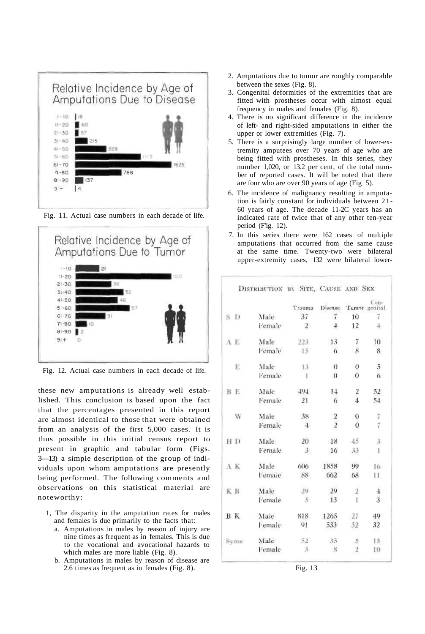

Fig. 11. Actual case numbers in each decade of life.



Fig. 12. Actual case numbers in each decade of life.

these new amputations is already well established. This conclusion is based upon the fact that the percentages presented in this report are almost identical to those that were obtained from an analysis of the first 5,000 cases. It is thus possible in this initial census report to present in graphic and tabular form (Figs. 3—13) a simple description of the group of individuals upon whom amputations are presently being performed. The following comments and observations on this statistical material are noteworthy:

- 1, The disparity in the amputation rates for males and females is due primarily to the facts that:
	- a. Amputations in males by reason of injury are nine times as frequent as in females. This is due to the vocational and avocational hazards to which males are more liable (Fig. 8).
	- b. Amputations in males by reason of disease are 2.6 times as frequent as in females (Fig. 8).
- 2. Amputations due to tumor are roughly comparable between the sexes (Fig. 8).
- 3. Congenital deformities of the extremities that are fitted with prostheses occur with almost equal frequency in males and females (Fig. 8).
- 4. There is no significant difference in the incidence of left- and right-sided amputations in either the upper or lower extremities (Fig. 7).
- 5. There is a surprisingly large number of lower-extremity amputees over 70 years of age who are being fitted with prostheses. In this series, they number 1,020, or 13.2 per cent, of the total number of reported cases. It will be noted that there are four who are over 90 years of age (Fig 5).
- 6. The incidence of malignancy resulting in amputation is fairly constant for individuals between 21- 60 years of age. The decade 11-2C years has an indicated rate of twice that of any other ten-year period (Fig. 12).
- 7. In this series there were 162 cases of multiple amputations that occurred from the same cause at the same time. Twenty-two were bilateral upper-extremity cases, 132 were bilateral lower-

|     |           | DISTRIBUTION BY SITE, CAUSE AND SEX |                |                       |                |                |
|-----|-----------|-------------------------------------|----------------|-----------------------|----------------|----------------|
|     |           |                                     | Trauma         | Disease Tumor genital |                | Con-           |
| S D |           | Male                                | 37             | $\overline{7}$        | 10             | $\overline{7}$ |
|     |           | Female                              | $\mathbf{2}$   | $\overline{4}$        | 12             | 4.             |
| A E |           | Male                                | 223            | 13                    | 7              | 10             |
|     |           | Female                              | 15             | -6                    | 8              | 8              |
|     | E         | Male                                | 13             | $\theta$              | $\overline{0}$ | $\overline{5}$ |
|     |           | Female                              | $\mathbf{1}$   | $\theta$              | $\theta$       | $\sigma$       |
| BE. |           | Male                                | 494            | 14                    | 2              | 52             |
|     |           | Female                              | 21             | -6                    | $\overline{4}$ | 54             |
|     | W         | Male                                | 38             | $\overline{2}$        | $\theta$       |                |
|     |           | Female                              | $\ddot{+}$     | $\overline{2}$        | $\overline{0}$ | $\frac{7}{7}$  |
|     | HD        | Male                                | 20             | 18                    | 45             | $\overline{3}$ |
|     |           | Female                              | $\mathbf{3}$   | 16                    | $-33$          | 1              |
| A K |           | Male                                | 606            | 1858                  | 99             | 16             |
|     |           | Female                              | 88             | 662                   | 68             | 11             |
| K B |           | Male                                | 29             | 29                    | $\overline{2}$ | $\ddagger$     |
|     |           | Female                              | $\overline{5}$ | 13                    | $\mathbf{I}$   | $\overline{3}$ |
|     | <b>BK</b> | Male                                | 818            | 1265                  | 27             | 49             |
|     |           | Female                              | 91             | 533                   | 32             | 32             |
|     | Syme      | Male                                | 52             | 35                    | $\overline{5}$ | 15             |
|     |           | Female                              | 3              | 8                     | $\overline{2}$ | 10             |